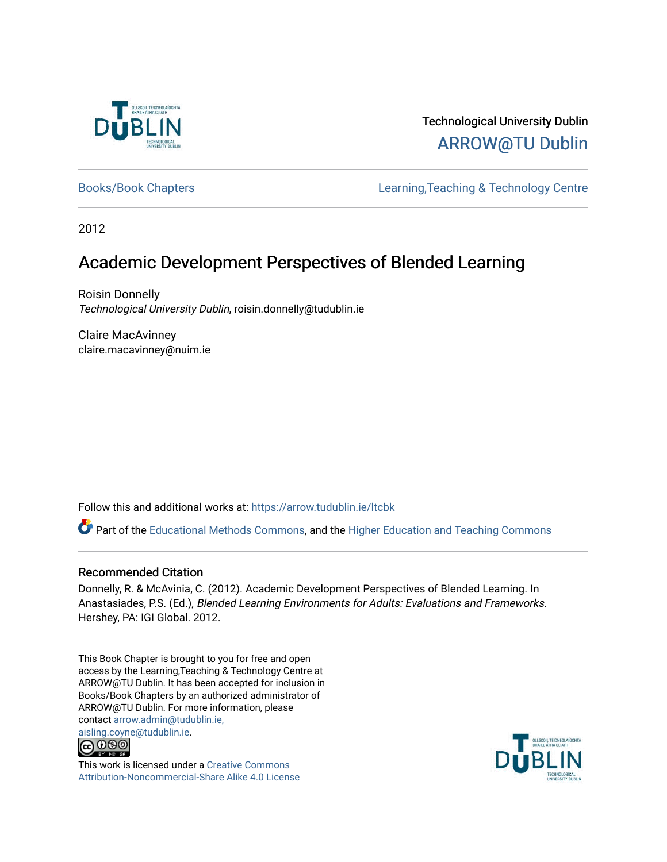

# Technological University Dublin [ARROW@TU Dublin](https://arrow.tudublin.ie/)

[Books/Book Chapters](https://arrow.tudublin.ie/ltcbk) [Learning,Teaching & Technology Centre](https://arrow.tudublin.ie/ltc) 

2012

# Academic Development Perspectives of Blended Learning

Roisin Donnelly Technological University Dublin, roisin.donnelly@tudublin.ie

Claire MacAvinney claire.macavinney@nuim.ie

Follow this and additional works at: [https://arrow.tudublin.ie/ltcbk](https://arrow.tudublin.ie/ltcbk?utm_source=arrow.tudublin.ie%2Fltcbk%2F17&utm_medium=PDF&utm_campaign=PDFCoverPages) 

Part of the [Educational Methods Commons,](http://network.bepress.com/hgg/discipline/1227?utm_source=arrow.tudublin.ie%2Fltcbk%2F17&utm_medium=PDF&utm_campaign=PDFCoverPages) and the [Higher Education and Teaching Commons](http://network.bepress.com/hgg/discipline/806?utm_source=arrow.tudublin.ie%2Fltcbk%2F17&utm_medium=PDF&utm_campaign=PDFCoverPages) 

#### Recommended Citation

Donnelly, R. & McAvinia, C. (2012). Academic Development Perspectives of Blended Learning. In Anastasiades, P.S. (Ed.), Blended Learning Environments for Adults: Evaluations and Frameworks. Hershey, PA: IGI Global. 2012.

This Book Chapter is brought to you for free and open access by the Learning,Teaching & Technology Centre at ARROW@TU Dublin. It has been accepted for inclusion in Books/Book Chapters by an authorized administrator of ARROW@TU Dublin. For more information, please contact [arrow.admin@tudublin.ie,](mailto:arrow.admin@tudublin.ie,%20aisling.coyne@tudublin.ie)  [aisling.coyne@tudublin.ie.](mailto:arrow.admin@tudublin.ie,%20aisling.coyne@tudublin.ie)<br>© 000



This work is licensed under a [Creative Commons](http://creativecommons.org/licenses/by-nc-sa/4.0/) [Attribution-Noncommercial-Share Alike 4.0 License](http://creativecommons.org/licenses/by-nc-sa/4.0/)

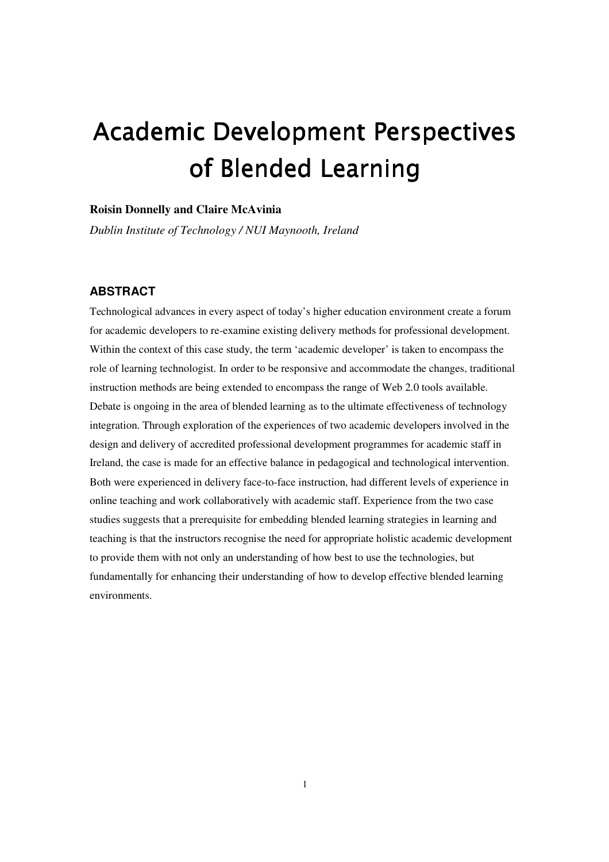# Academic Development Perspectives of Blended Learning

#### **Roisin Donnelly and Claire McAvinia**

*Dublin Institute of Technology / NUI Maynooth, Ireland* 

#### **ABSTRACT**

Technological advances in every aspect of today's higher education environment create a forum for academic developers to re-examine existing delivery methods for professional development. Within the context of this case study, the term 'academic developer' is taken to encompass the role of learning technologist. In order to be responsive and accommodate the changes, traditional instruction methods are being extended to encompass the range of Web 2.0 tools available. Debate is ongoing in the area of blended learning as to the ultimate effectiveness of technology integration. Through exploration of the experiences of two academic developers involved in the design and delivery of accredited professional development programmes for academic staff in Ireland, the case is made for an effective balance in pedagogical and technological intervention. Both were experienced in delivery face-to-face instruction, had different levels of experience in online teaching and work collaboratively with academic staff. Experience from the two case studies suggests that a prerequisite for embedding blended learning strategies in learning and teaching is that the instructors recognise the need for appropriate holistic academic development to provide them with not only an understanding of how best to use the technologies, but fundamentally for enhancing their understanding of how to develop effective blended learning environments.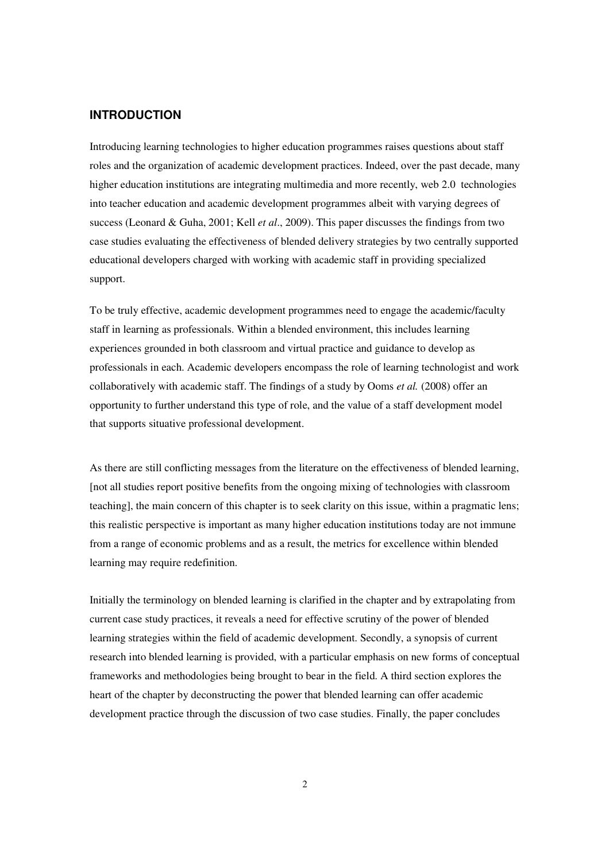#### **INTRODUCTION**

Introducing learning technologies to higher education programmes raises questions about staff roles and the organization of academic development practices. Indeed, over the past decade, many higher education institutions are integrating multimedia and more recently, web 2.0 technologies into teacher education and academic development programmes albeit with varying degrees of success (Leonard & Guha, 2001; Kell *et al*., 2009). This paper discusses the findings from two case studies evaluating the effectiveness of blended delivery strategies by two centrally supported educational developers charged with working with academic staff in providing specialized support.

To be truly effective, academic development programmes need to engage the academic/faculty staff in learning as professionals. Within a blended environment, this includes learning experiences grounded in both classroom and virtual practice and guidance to develop as professionals in each. Academic developers encompass the role of learning technologist and work collaboratively with academic staff. The findings of a study by Ooms *et al.* (2008) offer an opportunity to further understand this type of role, and the value of a staff development model that supports situative professional development.

As there are still conflicting messages from the literature on the effectiveness of blended learning, [not all studies report positive benefits from the ongoing mixing of technologies with classroom teaching], the main concern of this chapter is to seek clarity on this issue, within a pragmatic lens; this realistic perspective is important as many higher education institutions today are not immune from a range of economic problems and as a result, the metrics for excellence within blended learning may require redefinition.

Initially the terminology on blended learning is clarified in the chapter and by extrapolating from current case study practices, it reveals a need for effective scrutiny of the power of blended learning strategies within the field of academic development. Secondly, a synopsis of current research into blended learning is provided, with a particular emphasis on new forms of conceptual frameworks and methodologies being brought to bear in the field. A third section explores the heart of the chapter by deconstructing the power that blended learning can offer academic development practice through the discussion of two case studies. Finally, the paper concludes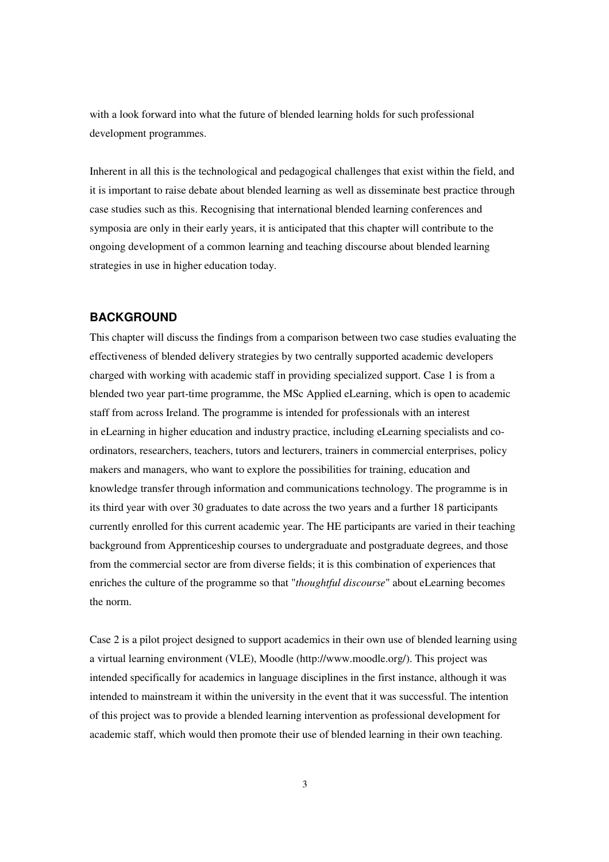with a look forward into what the future of blended learning holds for such professional development programmes.

Inherent in all this is the technological and pedagogical challenges that exist within the field, and it is important to raise debate about blended learning as well as disseminate best practice through case studies such as this. Recognising that international blended learning conferences and symposia are only in their early years, it is anticipated that this chapter will contribute to the ongoing development of a common learning and teaching discourse about blended learning strategies in use in higher education today.

#### **BACKGROUND**

This chapter will discuss the findings from a comparison between two case studies evaluating the effectiveness of blended delivery strategies by two centrally supported academic developers charged with working with academic staff in providing specialized support. Case 1 is from a blended two year part-time programme, the MSc Applied eLearning, which is open to academic staff from across Ireland. The programme is intended for professionals with an interest in eLearning in higher education and industry practice, including eLearning specialists and coordinators, researchers, teachers, tutors and lecturers, trainers in commercial enterprises, policy makers and managers, who want to explore the possibilities for training, education and knowledge transfer through information and communications technology. The programme is in its third year with over 30 graduates to date across the two years and a further 18 participants currently enrolled for this current academic year. The HE participants are varied in their teaching background from Apprenticeship courses to undergraduate and postgraduate degrees, and those from the commercial sector are from diverse fields; it is this combination of experiences that enriches the culture of the programme so that "*thoughtful discourse*" about eLearning becomes the norm.

Case 2 is a pilot project designed to support academics in their own use of blended learning using a virtual learning environment (VLE), Moodle (http://www.moodle.org/). This project was intended specifically for academics in language disciplines in the first instance, although it was intended to mainstream it within the university in the event that it was successful. The intention of this project was to provide a blended learning intervention as professional development for academic staff, which would then promote their use of blended learning in their own teaching.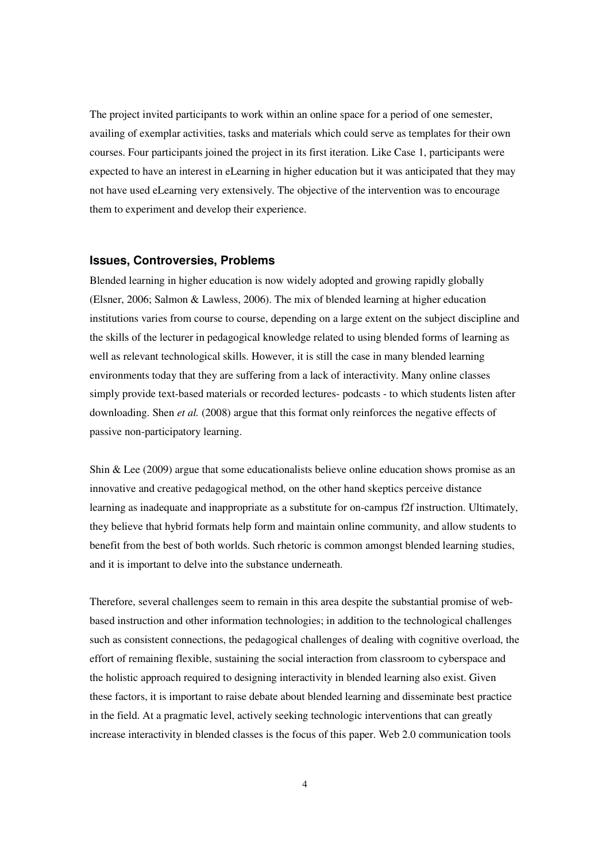The project invited participants to work within an online space for a period of one semester, availing of exemplar activities, tasks and materials which could serve as templates for their own courses. Four participants joined the project in its first iteration. Like Case 1, participants were expected to have an interest in eLearning in higher education but it was anticipated that they may not have used eLearning very extensively. The objective of the intervention was to encourage them to experiment and develop their experience.

#### **Issues, Controversies, Problems**

Blended learning in higher education is now widely adopted and growing rapidly globally (Elsner, 2006; Salmon & Lawless, 2006). The mix of blended learning at higher education institutions varies from course to course, depending on a large extent on the subject discipline and the skills of the lecturer in pedagogical knowledge related to using blended forms of learning as well as relevant technological skills. However, it is still the case in many blended learning environments today that they are suffering from a lack of interactivity. Many online classes simply provide text-based materials or recorded lectures- podcasts - to which students listen after downloading. Shen *et al.* (2008) argue that this format only reinforces the negative effects of passive non-participatory learning.

Shin & Lee  $(2009)$  argue that some educationalists believe online education shows promise as an innovative and creative pedagogical method, on the other hand skeptics perceive distance learning as inadequate and inappropriate as a substitute for on-campus f2f instruction. Ultimately, they believe that hybrid formats help form and maintain online community, and allow students to benefit from the best of both worlds. Such rhetoric is common amongst blended learning studies, and it is important to delve into the substance underneath.

Therefore, several challenges seem to remain in this area despite the substantial promise of webbased instruction and other information technologies; in addition to the technological challenges such as consistent connections, the pedagogical challenges of dealing with cognitive overload, the effort of remaining flexible, sustaining the social interaction from classroom to cyberspace and the holistic approach required to designing interactivity in blended learning also exist. Given these factors, it is important to raise debate about blended learning and disseminate best practice in the field. At a pragmatic level, actively seeking technologic interventions that can greatly increase interactivity in blended classes is the focus of this paper. Web 2.0 communication tools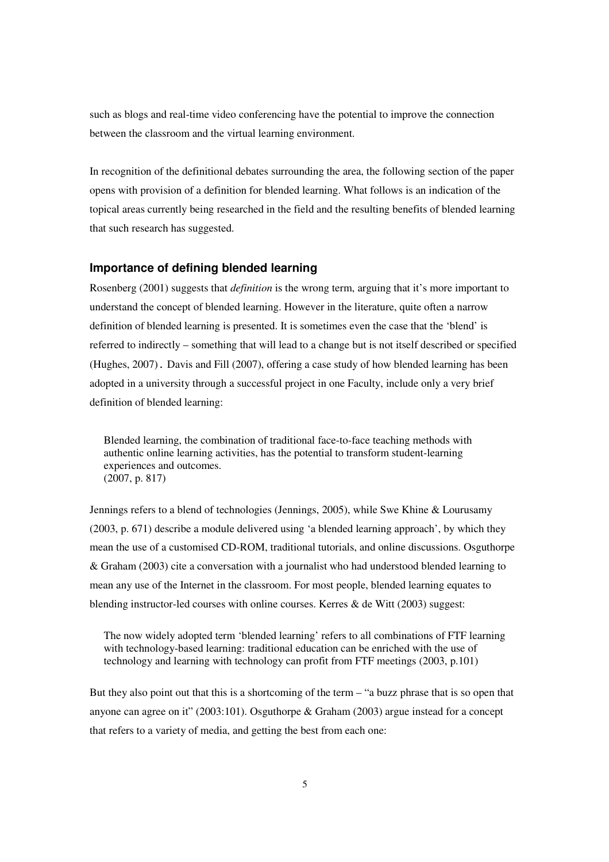such as blogs and real-time video conferencing have the potential to improve the connection between the classroom and the virtual learning environment.

In recognition of the definitional debates surrounding the area, the following section of the paper opens with provision of a definition for blended learning. What follows is an indication of the topical areas currently being researched in the field and the resulting benefits of blended learning that such research has suggested.

#### **Importance of defining blended learning**

Rosenberg (2001) suggests that *definition* is the wrong term, arguing that it's more important to understand the concept of blended learning. However in the literature, quite often a narrow definition of blended learning is presented. It is sometimes even the case that the 'blend' is referred to indirectly – something that will lead to a change but is not itself described or specified (Hughes, 2007). Davis and Fill (2007), offering a case study of how blended learning has been adopted in a university through a successful project in one Faculty, include only a very brief definition of blended learning:

Blended learning, the combination of traditional face-to-face teaching methods with authentic online learning activities, has the potential to transform student-learning experiences and outcomes. (2007, p. 817)

Jennings refers to a blend of technologies (Jennings, 2005), while Swe Khine & Lourusamy (2003, p. 671) describe a module delivered using 'a blended learning approach', by which they mean the use of a customised CD-ROM, traditional tutorials, and online discussions. Osguthorpe & Graham (2003) cite a conversation with a journalist who had understood blended learning to mean any use of the Internet in the classroom. For most people, blended learning equates to blending instructor-led courses with online courses. Kerres & de Witt (2003) suggest:

The now widely adopted term 'blended learning' refers to all combinations of FTF learning with technology-based learning: traditional education can be enriched with the use of technology and learning with technology can profit from FTF meetings (2003, p.101)

But they also point out that this is a shortcoming of the term – "a buzz phrase that is so open that anyone can agree on it" (2003:101). Osguthorpe & Graham (2003) argue instead for a concept that refers to a variety of media, and getting the best from each one: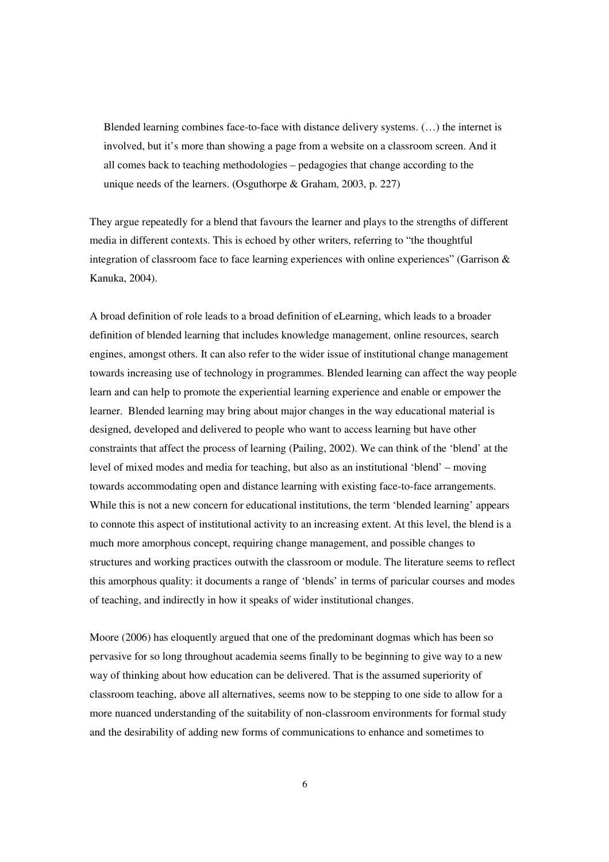Blended learning combines face-to-face with distance delivery systems. (…) the internet is involved, but it's more than showing a page from a website on a classroom screen. And it all comes back to teaching methodologies – pedagogies that change according to the unique needs of the learners. (Osguthorpe & Graham, 2003, p. 227)

They argue repeatedly for a blend that favours the learner and plays to the strengths of different media in different contexts. This is echoed by other writers, referring to "the thoughtful integration of classroom face to face learning experiences with online experiences" (Garrison & Kanuka, 2004).

A broad definition of role leads to a broad definition of eLearning, which leads to a broader definition of blended learning that includes knowledge management, online resources, search engines, amongst others. It can also refer to the wider issue of institutional change management towards increasing use of technology in programmes. Blended learning can affect the way people learn and can help to promote the experiential learning experience and enable or empower the learner. Blended learning may bring about major changes in the way educational material is designed, developed and delivered to people who want to access learning but have other constraints that affect the process of learning (Pailing, 2002). We can think of the 'blend' at the level of mixed modes and media for teaching, but also as an institutional 'blend' – moving towards accommodating open and distance learning with existing face-to-face arrangements. While this is not a new concern for educational institutions, the term 'blended learning' appears to connote this aspect of institutional activity to an increasing extent. At this level, the blend is a much more amorphous concept, requiring change management, and possible changes to structures and working practices outwith the classroom or module. The literature seems to reflect this amorphous quality: it documents a range of 'blends' in terms of paricular courses and modes of teaching, and indirectly in how it speaks of wider institutional changes.

Moore (2006) has eloquently argued that one of the predominant dogmas which has been so pervasive for so long throughout academia seems finally to be beginning to give way to a new way of thinking about how education can be delivered. That is the assumed superiority of classroom teaching, above all alternatives, seems now to be stepping to one side to allow for a more nuanced understanding of the suitability of non-classroom environments for formal study and the desirability of adding new forms of communications to enhance and sometimes to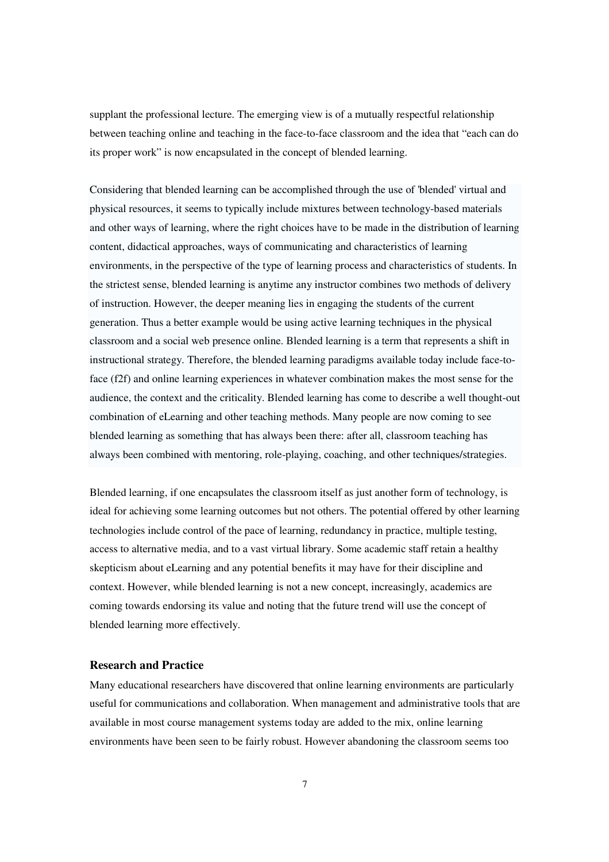supplant the professional lecture. The emerging view is of a mutually respectful relationship between teaching online and teaching in the face-to-face classroom and the idea that "each can do its proper work" is now encapsulated in the concept of blended learning.

Considering that blended learning can be accomplished through the use of 'blended' virtual and physical resources, it seems to typically include mixtures between technology-based materials and other ways of learning, where the right choices have to be made in the distribution of learning content, didactical approaches, ways of communicating and characteristics of learning environments, in the perspective of the type of learning process and characteristics of students. In the strictest sense, blended learning is anytime any instructor combines two methods of delivery of instruction. However, the deeper meaning lies in engaging the students of the current generation. Thus a better example would be using active learning techniques in the physical classroom and a social web presence online. Blended learning is a term that represents a shift in instructional strategy. Therefore, the blended learning paradigms available today include face-toface (f2f) and online learning experiences in whatever combination makes the most sense for the audience, the context and the criticality. Blended learning has come to describe a well thought-out combination of eLearning and other teaching methods. Many people are now coming to see blended learning as something that has always been there: after all, classroom teaching has always been combined with mentoring, role-playing, coaching, and other techniques/strategies.

Blended learning, if one encapsulates the classroom itself as just another form of technology, is ideal for achieving some learning outcomes but not others. The potential offered by other learning technologies include control of the pace of learning, redundancy in practice, multiple testing, access to alternative media, and to a vast virtual library. Some academic staff retain a healthy skepticism about eLearning and any potential benefits it may have for their discipline and context. However, while blended learning is not a new concept, increasingly, academics are coming towards endorsing its value and noting that the future trend will use the concept of blended learning more effectively.

#### **Research and Practice**

Many educational researchers have discovered that online learning environments are particularly useful for communications and collaboration. When management and administrative tools that are available in most course management systems today are added to the mix, online learning environments have been seen to be fairly robust. However abandoning the classroom seems too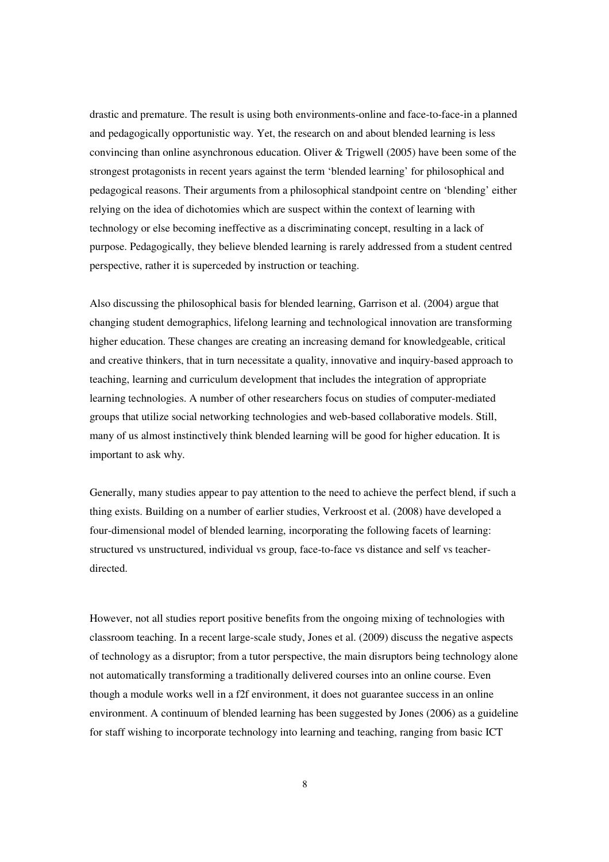drastic and premature. The result is using both environments-online and face-to-face-in a planned and pedagogically opportunistic way. Yet, the research on and about blended learning is less convincing than online asynchronous education. Oliver & Trigwell (2005) have been some of the strongest protagonists in recent years against the term 'blended learning' for philosophical and pedagogical reasons. Their arguments from a philosophical standpoint centre on 'blending' either relying on the idea of dichotomies which are suspect within the context of learning with technology or else becoming ineffective as a discriminating concept, resulting in a lack of purpose. Pedagogically, they believe blended learning is rarely addressed from a student centred perspective, rather it is superceded by instruction or teaching.

Also discussing the philosophical basis for blended learning, Garrison et al. (2004) argue that changing student demographics, lifelong learning and technological innovation are transforming higher education. These changes are creating an increasing demand for knowledgeable, critical and creative thinkers, that in turn necessitate a quality, innovative and inquiry-based approach to teaching, learning and curriculum development that includes the integration of appropriate learning technologies. A number of other researchers focus on studies of computer-mediated groups that utilize social networking technologies and web-based collaborative models. Still, many of us almost instinctively think blended learning will be good for higher education. It is important to ask why.

Generally, many studies appear to pay attention to the need to achieve the perfect blend, if such a thing exists. Building on a number of earlier studies, Verkroost et al. (2008) have developed a four-dimensional model of blended learning, incorporating the following facets of learning: structured vs unstructured, individual vs group, face-to-face vs distance and self vs teacherdirected.

However, not all studies report positive benefits from the ongoing mixing of technologies with classroom teaching. In a recent large-scale study, Jones et al. (2009) discuss the negative aspects of technology as a disruptor; from a tutor perspective, the main disruptors being technology alone not automatically transforming a traditionally delivered courses into an online course. Even though a module works well in a f2f environment, it does not guarantee success in an online environment. A continuum of blended learning has been suggested by Jones (2006) as a guideline for staff wishing to incorporate technology into learning and teaching, ranging from basic ICT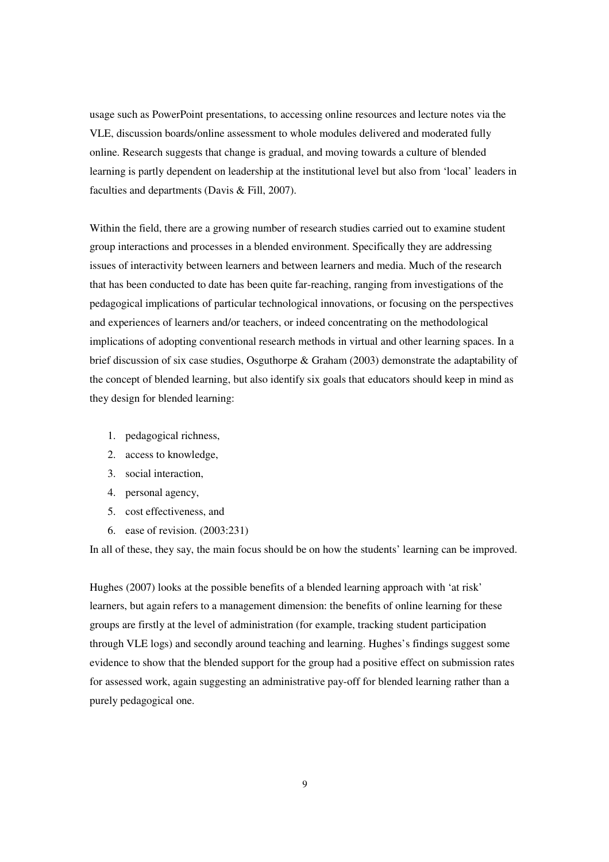usage such as PowerPoint presentations, to accessing online resources and lecture notes via the VLE, discussion boards/online assessment to whole modules delivered and moderated fully online. Research suggests that change is gradual, and moving towards a culture of blended learning is partly dependent on leadership at the institutional level but also from 'local' leaders in faculties and departments (Davis & Fill, 2007).

Within the field, there are a growing number of research studies carried out to examine student group interactions and processes in a blended environment. Specifically they are addressing issues of interactivity between learners and between learners and media. Much of the research that has been conducted to date has been quite far-reaching, ranging from investigations of the pedagogical implications of particular technological innovations, or focusing on the perspectives and experiences of learners and/or teachers, or indeed concentrating on the methodological implications of adopting conventional research methods in virtual and other learning spaces. In a brief discussion of six case studies, Osguthorpe & Graham (2003) demonstrate the adaptability of the concept of blended learning, but also identify six goals that educators should keep in mind as they design for blended learning:

- 1. pedagogical richness,
- 2. access to knowledge,
- 3. social interaction,
- 4. personal agency,
- 5. cost effectiveness, and
- 6. ease of revision. (2003:231)

In all of these, they say, the main focus should be on how the students' learning can be improved.

Hughes (2007) looks at the possible benefits of a blended learning approach with 'at risk' learners, but again refers to a management dimension: the benefits of online learning for these groups are firstly at the level of administration (for example, tracking student participation through VLE logs) and secondly around teaching and learning. Hughes's findings suggest some evidence to show that the blended support for the group had a positive effect on submission rates for assessed work, again suggesting an administrative pay-off for blended learning rather than a purely pedagogical one.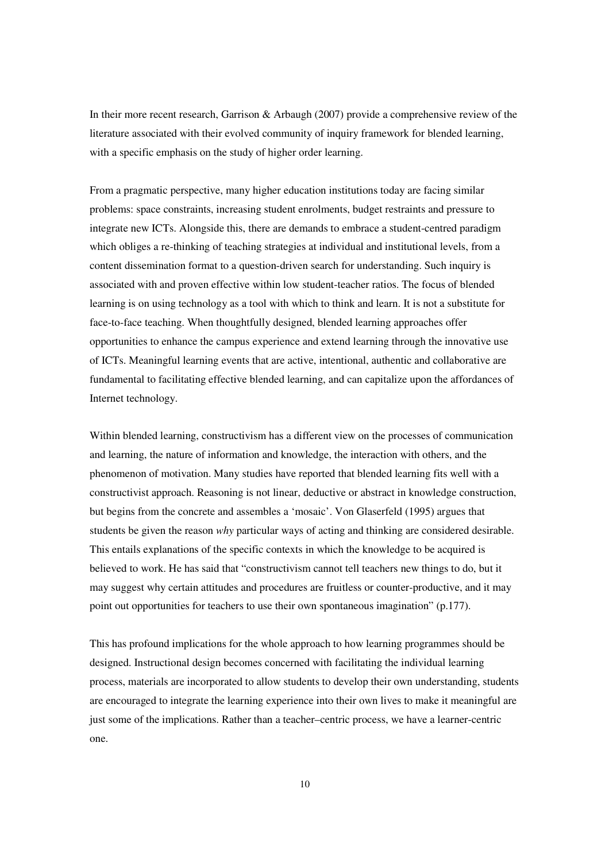In their more recent research, Garrison & Arbaugh (2007) provide a comprehensive review of the literature associated with their evolved community of inquiry framework for blended learning, with a specific emphasis on the study of higher order learning.

From a pragmatic perspective, many higher education institutions today are facing similar problems: space constraints, increasing student enrolments, budget restraints and pressure to integrate new ICTs. Alongside this, there are demands to embrace a student-centred paradigm which obliges a re-thinking of teaching strategies at individual and institutional levels, from a content dissemination format to a question-driven search for understanding. Such inquiry is associated with and proven effective within low student-teacher ratios. The focus of blended learning is on using technology as a tool with which to think and learn. It is not a substitute for face-to-face teaching. When thoughtfully designed, blended learning approaches offer opportunities to enhance the campus experience and extend learning through the innovative use of ICTs. Meaningful learning events that are active, intentional, authentic and collaborative are fundamental to facilitating effective blended learning, and can capitalize upon the affordances of Internet technology.

Within blended learning, constructivism has a different view on the processes of communication and learning, the nature of information and knowledge, the interaction with others, and the phenomenon of motivation. Many studies have reported that blended learning fits well with a constructivist approach. Reasoning is not linear, deductive or abstract in knowledge construction, but begins from the concrete and assembles a 'mosaic'. Von Glaserfeld (1995) argues that students be given the reason *why* particular ways of acting and thinking are considered desirable. This entails explanations of the specific contexts in which the knowledge to be acquired is believed to work. He has said that "constructivism cannot tell teachers new things to do, but it may suggest why certain attitudes and procedures are fruitless or counter-productive, and it may point out opportunities for teachers to use their own spontaneous imagination" (p.177).

This has profound implications for the whole approach to how learning programmes should be designed. Instructional design becomes concerned with facilitating the individual learning process, materials are incorporated to allow students to develop their own understanding, students are encouraged to integrate the learning experience into their own lives to make it meaningful are just some of the implications. Rather than a teacher–centric process, we have a learner-centric one.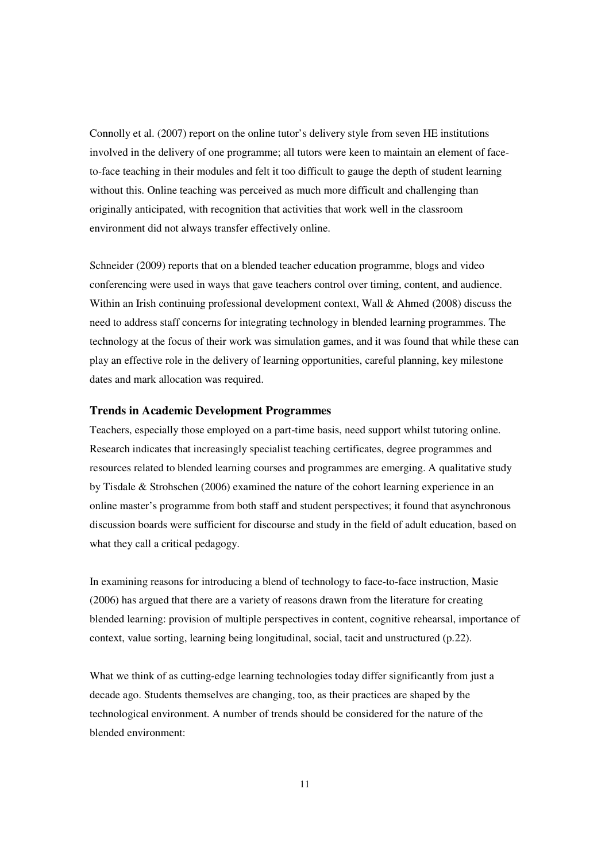Connolly et al. (2007) report on the online tutor's delivery style from seven HE institutions involved in the delivery of one programme; all tutors were keen to maintain an element of faceto-face teaching in their modules and felt it too difficult to gauge the depth of student learning without this. Online teaching was perceived as much more difficult and challenging than originally anticipated, with recognition that activities that work well in the classroom environment did not always transfer effectively online.

Schneider (2009) reports that on a blended teacher education programme, blogs and video conferencing were used in ways that gave teachers control over timing, content, and audience. Within an Irish continuing professional development context, Wall & Ahmed (2008) discuss the need to address staff concerns for integrating technology in blended learning programmes. The technology at the focus of their work was simulation games, and it was found that while these can play an effective role in the delivery of learning opportunities, careful planning, key milestone dates and mark allocation was required.

#### **Trends in Academic Development Programmes**

Teachers, especially those employed on a part-time basis, need support whilst tutoring online. Research indicates that increasingly specialist teaching certificates, degree programmes and resources related to blended learning courses and programmes are emerging. A qualitative study by Tisdale & Strohschen (2006) examined the nature of the cohort learning experience in an online master's programme from both staff and student perspectives; it found that asynchronous discussion boards were sufficient for discourse and study in the field of adult education, based on what they call a critical pedagogy.

In examining reasons for introducing a blend of technology to face-to-face instruction, Masie (2006) has argued that there are a variety of reasons drawn from the literature for creating blended learning: provision of multiple perspectives in content, cognitive rehearsal, importance of context, value sorting, learning being longitudinal, social, tacit and unstructured (p.22).

What we think of as cutting-edge learning technologies today differ significantly from just a decade ago. Students themselves are changing, too, as their practices are shaped by the technological environment. A number of trends should be considered for the nature of the blended environment: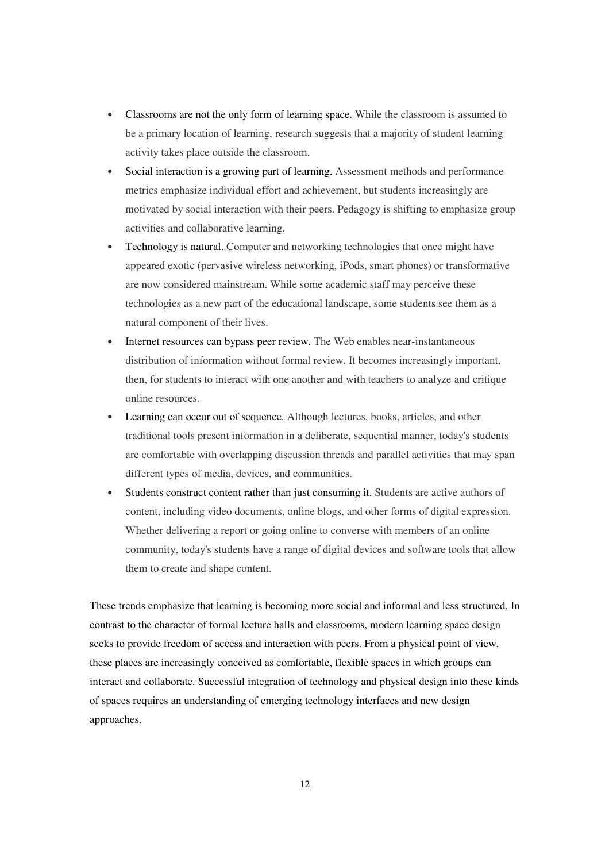- Classrooms are not the only form of learning space. While the classroom is assumed to be a primary location of learning, research suggests that a majority of student learning activity takes place outside the classroom.
- Social interaction is a growing part of learning. Assessment methods and performance metrics emphasize individual effort and achievement, but students increasingly are motivated by social interaction with their peers. Pedagogy is shifting to emphasize group activities and collaborative learning.
- Technology is natural. Computer and networking technologies that once might have appeared exotic (pervasive wireless networking, iPods, smart phones) or transformative are now considered mainstream. While some academic staff may perceive these technologies as a new part of the educational landscape, some students see them as a natural component of their lives.
- Internet resources can bypass peer review. The Web enables near-instantaneous distribution of information without formal review. It becomes increasingly important, then, for students to interact with one another and with teachers to analyze and critique online resources.
- Learning can occur out of sequence. Although lectures, books, articles, and other traditional tools present information in a deliberate, sequential manner, today's students are comfortable with overlapping discussion threads and parallel activities that may span different types of media, devices, and communities.
- Students construct content rather than just consuming it. Students are active authors of content, including video documents, online blogs, and other forms of digital expression. Whether delivering a report or going online to converse with members of an online community, today's students have a range of digital devices and software tools that allow them to create and shape content.

These trends emphasize that learning is becoming more social and informal and less structured. In contrast to the character of formal lecture halls and classrooms, modern learning space design seeks to provide freedom of access and interaction with peers. From a physical point of view, these places are increasingly conceived as comfortable, flexible spaces in which groups can interact and collaborate. Successful integration of technology and physical design into these kinds of spaces requires an understanding of emerging technology interfaces and new design approaches.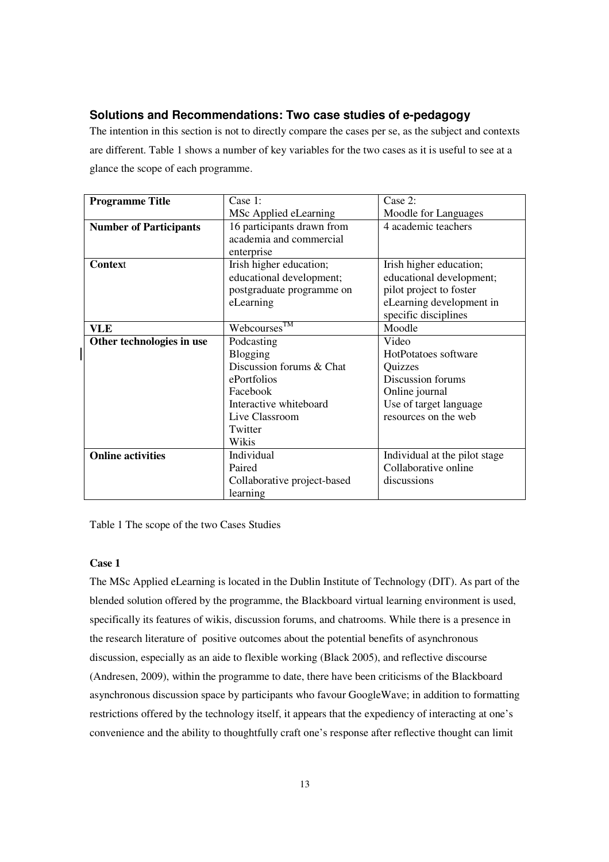## **Solutions and Recommendations: Two case studies of e-pedagogy**

The intention in this section is not to directly compare the cases per se, as the subject and contexts are different. Table 1 shows a number of key variables for the two cases as it is useful to see at a glance the scope of each programme.

| <b>Programme Title</b>        | Case 1:                     | Case 2:                       |
|-------------------------------|-----------------------------|-------------------------------|
|                               | MSc Applied eLearning       | Moodle for Languages          |
| <b>Number of Participants</b> | 16 participants drawn from  | 4 academic teachers           |
|                               | academia and commercial     |                               |
|                               | enterprise                  |                               |
| <b>Context</b>                | Irish higher education;     | Irish higher education;       |
|                               | educational development;    | educational development;      |
|                               | postgraduate programme on   | pilot project to foster       |
|                               | eLearning                   | eLearning development in      |
|                               |                             | specific disciplines          |
| VLE                           | Webcourses <sup>TM</sup>    | Moodle                        |
| Other technologies in use     | Podcasting                  | Video                         |
|                               | Blogging                    | HotPotatoes software          |
|                               | Discussion forums & Chat    | Quizzes                       |
|                               | ePortfolios                 | Discussion forums             |
|                               | Facebook                    | Online journal                |
|                               | Interactive whiteboard      | Use of target language        |
|                               | Live Classroom              | resources on the web          |
|                               | Twitter                     |                               |
|                               | Wikis                       |                               |
| <b>Online activities</b>      | Individual                  | Individual at the pilot stage |
|                               | Paired                      | Collaborative online          |
|                               | Collaborative project-based | discussions                   |
|                               | learning                    |                               |

Table 1 The scope of the two Cases Studies

#### **Case 1**

The MSc Applied eLearning is located in the Dublin Institute of Technology (DIT). As part of the blended solution offered by the programme, the Blackboard virtual learning environment is used, specifically its features of wikis, discussion forums, and chatrooms. While there is a presence in the research literature of positive outcomes about the potential benefits of asynchronous discussion, especially as an aide to flexible working (Black 2005), and reflective discourse (Andresen, 2009), within the programme to date, there have been criticisms of the Blackboard asynchronous discussion space by participants who favour GoogleWave; in addition to formatting restrictions offered by the technology itself, it appears that the expediency of interacting at one's convenience and the ability to thoughtfully craft one's response after reflective thought can limit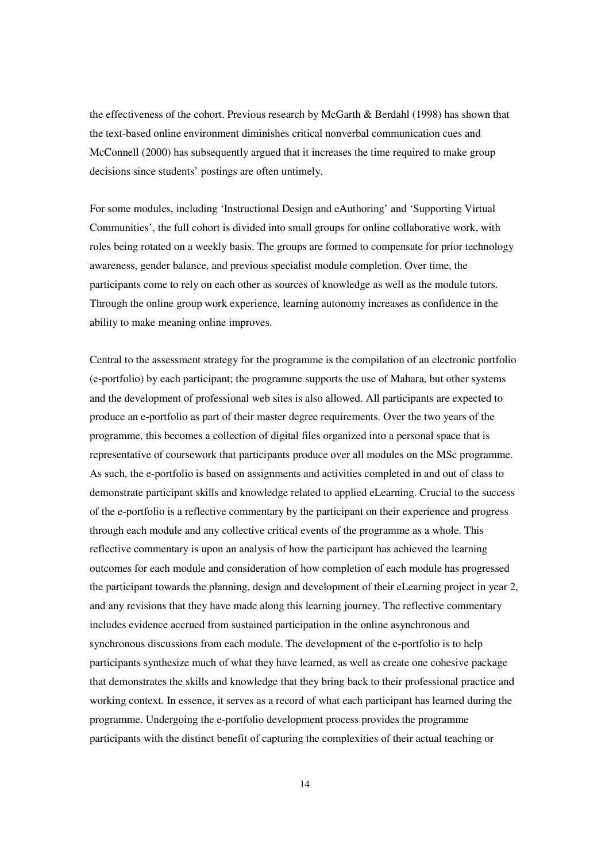the effectiveness of the cohort. Previous research by McGarth & Berdahl (1998) has shown that the text-based online environment diminishes critical nonverbal communication cues and McConnell (2000) has subsequently argued that it increases the time required to make group decisions since students' postings are often untimely.

For some modules, including 'Instructional Design and eAuthoring' and 'Supporting Virtual Communities', the full cohort is divided into small groups for online collaborative work, with roles being rotated on a weekly basis. The groups are formed to compensate for prior technology awareness, gender balance, and previous specialist module completion. Over time, the participants come to rely on each other as sources of knowledge as well as the module tutors. Through the online group work experience, learning autonomy increases as confidence in the ability to make meaning online improves.

Central to the assessment strategy for the programme is the compilation of an electronic portfolio (e-portfolio) by each participant; the programme supports the use of Mahara, but other systems and the development of professional web sites is also allowed. All participants are expected to produce an e-portfolio as part of their master degree requirements. Over the two years of the programme, this becomes a collection of digital files organized into a personal space that is representative of coursework that participants produce over all modules on the MSc programme. As such, the e-portfolio is based on assignments and activities completed in and out of class to demonstrate participant skills and knowledge related to applied eLearning. Crucial to the success of the e-portfolio is a reflective commentary by the participant on their experience and progress through each module and any collective critical events of the programme as a whole. This reflective commentary is upon an analysis of how the participant has achieved the learning outcomes for each module and consideration of how completion of each module has progressed the participant towards the planning, design and development of their eLearning project in year 2, and any revisions that they have made along this learning journey. The reflective commentary includes evidence accrued from sustained participation in the online asynchronous and synchronous discussions from each module. The development of the e-portfolio is to help participants synthesize much of what they have learned, as well as create one cohesive package that demonstrates the skills and knowledge that they bring back to their professional practice and working context. In essence, it serves as a record of what each participant has learned during the programme. Undergoing the e-portfolio development process provides the programme participants with the distinct benefit of capturing the complexities of their actual teaching or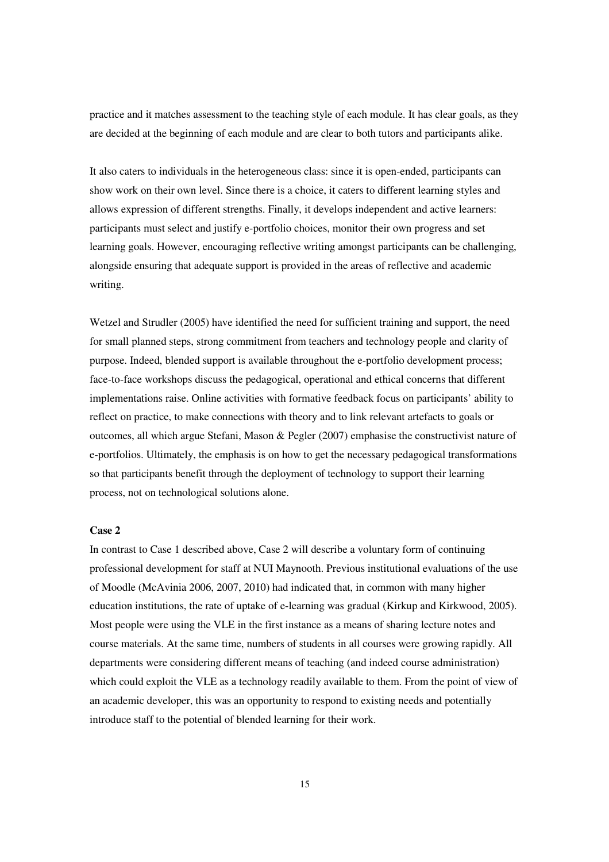practice and it matches assessment to the teaching style of each module. It has clear goals, as they are decided at the beginning of each module and are clear to both tutors and participants alike.

It also caters to individuals in the heterogeneous class: since it is open-ended, participants can show work on their own level. Since there is a choice, it caters to different learning styles and allows expression of different strengths. Finally, it develops independent and active learners: participants must select and justify e-portfolio choices, monitor their own progress and set learning goals. However, encouraging reflective writing amongst participants can be challenging, alongside ensuring that adequate support is provided in the areas of reflective and academic writing.

Wetzel and Strudler (2005) have identified the need for sufficient training and support, the need for small planned steps, strong commitment from teachers and technology people and clarity of purpose. Indeed, blended support is available throughout the e-portfolio development process; face-to-face workshops discuss the pedagogical, operational and ethical concerns that different implementations raise. Online activities with formative feedback focus on participants' ability to reflect on practice, to make connections with theory and to link relevant artefacts to goals or outcomes, all which argue Stefani, Mason & Pegler (2007) emphasise the constructivist nature of e-portfolios. Ultimately, the emphasis is on how to get the necessary pedagogical transformations so that participants benefit through the deployment of technology to support their learning process, not on technological solutions alone.

#### **Case 2**

In contrast to Case 1 described above, Case 2 will describe a voluntary form of continuing professional development for staff at NUI Maynooth. Previous institutional evaluations of the use of Moodle (McAvinia 2006, 2007, 2010) had indicated that, in common with many higher education institutions, the rate of uptake of e-learning was gradual (Kirkup and Kirkwood, 2005). Most people were using the VLE in the first instance as a means of sharing lecture notes and course materials. At the same time, numbers of students in all courses were growing rapidly. All departments were considering different means of teaching (and indeed course administration) which could exploit the VLE as a technology readily available to them. From the point of view of an academic developer, this was an opportunity to respond to existing needs and potentially introduce staff to the potential of blended learning for their work.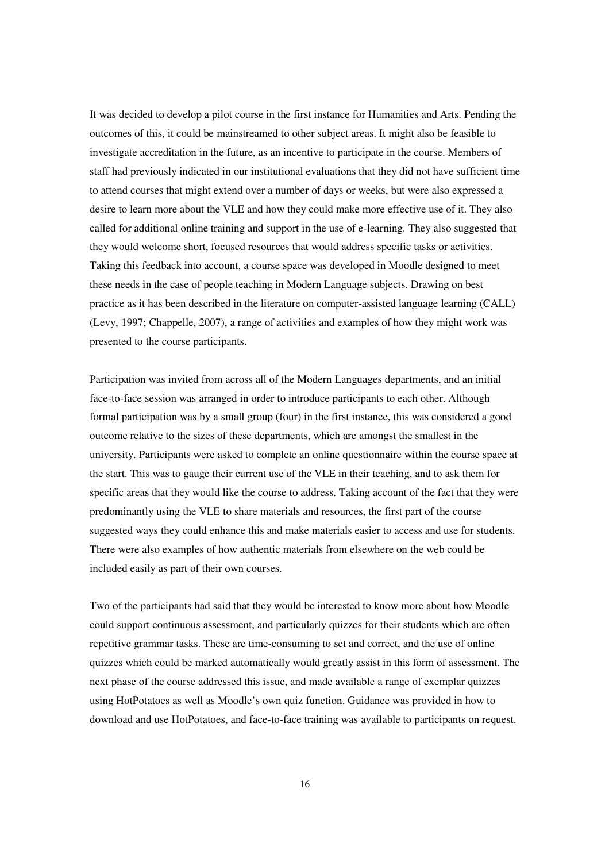It was decided to develop a pilot course in the first instance for Humanities and Arts. Pending the outcomes of this, it could be mainstreamed to other subject areas. It might also be feasible to investigate accreditation in the future, as an incentive to participate in the course. Members of staff had previously indicated in our institutional evaluations that they did not have sufficient time to attend courses that might extend over a number of days or weeks, but were also expressed a desire to learn more about the VLE and how they could make more effective use of it. They also called for additional online training and support in the use of e-learning. They also suggested that they would welcome short, focused resources that would address specific tasks or activities. Taking this feedback into account, a course space was developed in Moodle designed to meet these needs in the case of people teaching in Modern Language subjects. Drawing on best practice as it has been described in the literature on computer-assisted language learning (CALL) (Levy, 1997; Chappelle, 2007), a range of activities and examples of how they might work was presented to the course participants.

Participation was invited from across all of the Modern Languages departments, and an initial face-to-face session was arranged in order to introduce participants to each other. Although formal participation was by a small group (four) in the first instance, this was considered a good outcome relative to the sizes of these departments, which are amongst the smallest in the university. Participants were asked to complete an online questionnaire within the course space at the start. This was to gauge their current use of the VLE in their teaching, and to ask them for specific areas that they would like the course to address. Taking account of the fact that they were predominantly using the VLE to share materials and resources, the first part of the course suggested ways they could enhance this and make materials easier to access and use for students. There were also examples of how authentic materials from elsewhere on the web could be included easily as part of their own courses.

Two of the participants had said that they would be interested to know more about how Moodle could support continuous assessment, and particularly quizzes for their students which are often repetitive grammar tasks. These are time-consuming to set and correct, and the use of online quizzes which could be marked automatically would greatly assist in this form of assessment. The next phase of the course addressed this issue, and made available a range of exemplar quizzes using HotPotatoes as well as Moodle's own quiz function. Guidance was provided in how to download and use HotPotatoes, and face-to-face training was available to participants on request.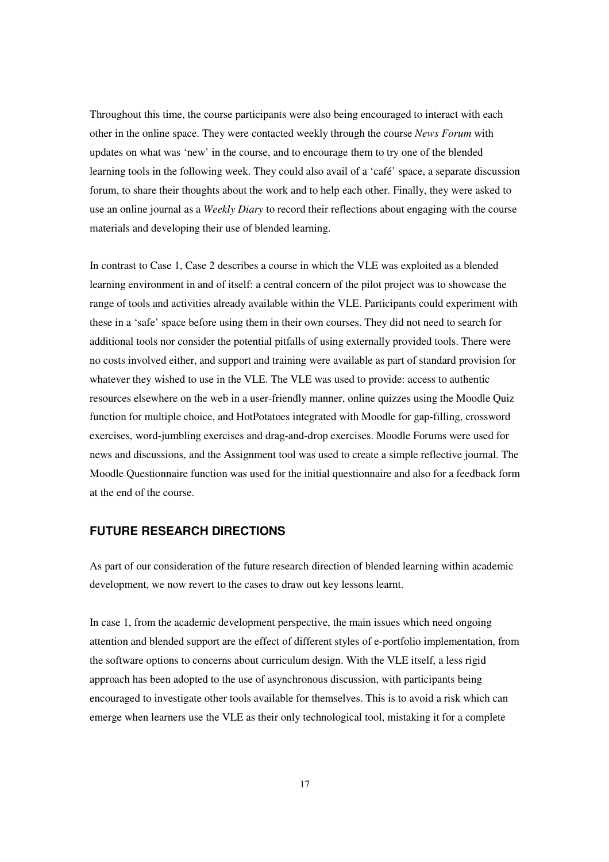Throughout this time, the course participants were also being encouraged to interact with each other in the online space. They were contacted weekly through the course *News Forum* with updates on what was 'new' in the course, and to encourage them to try one of the blended learning tools in the following week. They could also avail of a 'café' space, a separate discussion forum, to share their thoughts about the work and to help each other. Finally, they were asked to use an online journal as a *Weekly Diary* to record their reflections about engaging with the course materials and developing their use of blended learning.

In contrast to Case 1, Case 2 describes a course in which the VLE was exploited as a blended learning environment in and of itself: a central concern of the pilot project was to showcase the range of tools and activities already available within the VLE. Participants could experiment with these in a 'safe' space before using them in their own courses. They did not need to search for additional tools nor consider the potential pitfalls of using externally provided tools. There were no costs involved either, and support and training were available as part of standard provision for whatever they wished to use in the VLE. The VLE was used to provide: access to authentic resources elsewhere on the web in a user-friendly manner, online quizzes using the Moodle Quiz function for multiple choice, and HotPotatoes integrated with Moodle for gap-filling, crossword exercises, word-jumbling exercises and drag-and-drop exercises. Moodle Forums were used for news and discussions, and the Assignment tool was used to create a simple reflective journal. The Moodle Questionnaire function was used for the initial questionnaire and also for a feedback form at the end of the course.

#### **FUTURE RESEARCH DIRECTIONS**

As part of our consideration of the future research direction of blended learning within academic development, we now revert to the cases to draw out key lessons learnt.

In case 1, from the academic development perspective, the main issues which need ongoing attention and blended support are the effect of different styles of e-portfolio implementation, from the software options to concerns about curriculum design. With the VLE itself, a less rigid approach has been adopted to the use of asynchronous discussion, with participants being encouraged to investigate other tools available for themselves. This is to avoid a risk which can emerge when learners use the VLE as their only technological tool, mistaking it for a complete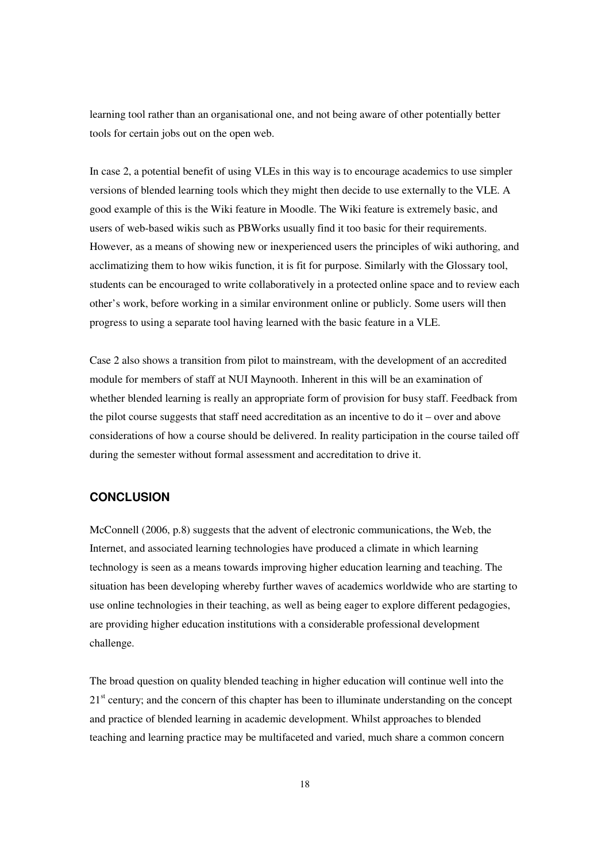learning tool rather than an organisational one, and not being aware of other potentially better tools for certain jobs out on the open web.

In case 2, a potential benefit of using VLEs in this way is to encourage academics to use simpler versions of blended learning tools which they might then decide to use externally to the VLE. A good example of this is the Wiki feature in Moodle. The Wiki feature is extremely basic, and users of web-based wikis such as PBWorks usually find it too basic for their requirements. However, as a means of showing new or inexperienced users the principles of wiki authoring, and acclimatizing them to how wikis function, it is fit for purpose. Similarly with the Glossary tool, students can be encouraged to write collaboratively in a protected online space and to review each other's work, before working in a similar environment online or publicly. Some users will then progress to using a separate tool having learned with the basic feature in a VLE.

Case 2 also shows a transition from pilot to mainstream, with the development of an accredited module for members of staff at NUI Maynooth. Inherent in this will be an examination of whether blended learning is really an appropriate form of provision for busy staff. Feedback from the pilot course suggests that staff need accreditation as an incentive to do it – over and above considerations of how a course should be delivered. In reality participation in the course tailed off during the semester without formal assessment and accreditation to drive it.

#### **CONCLUSION**

McConnell (2006, p.8) suggests that the advent of electronic communications, the Web, the Internet, and associated learning technologies have produced a climate in which learning technology is seen as a means towards improving higher education learning and teaching. The situation has been developing whereby further waves of academics worldwide who are starting to use online technologies in their teaching, as well as being eager to explore different pedagogies, are providing higher education institutions with a considerable professional development challenge.

The broad question on quality blended teaching in higher education will continue well into the 21<sup>st</sup> century; and the concern of this chapter has been to illuminate understanding on the concept and practice of blended learning in academic development. Whilst approaches to blended teaching and learning practice may be multifaceted and varied, much share a common concern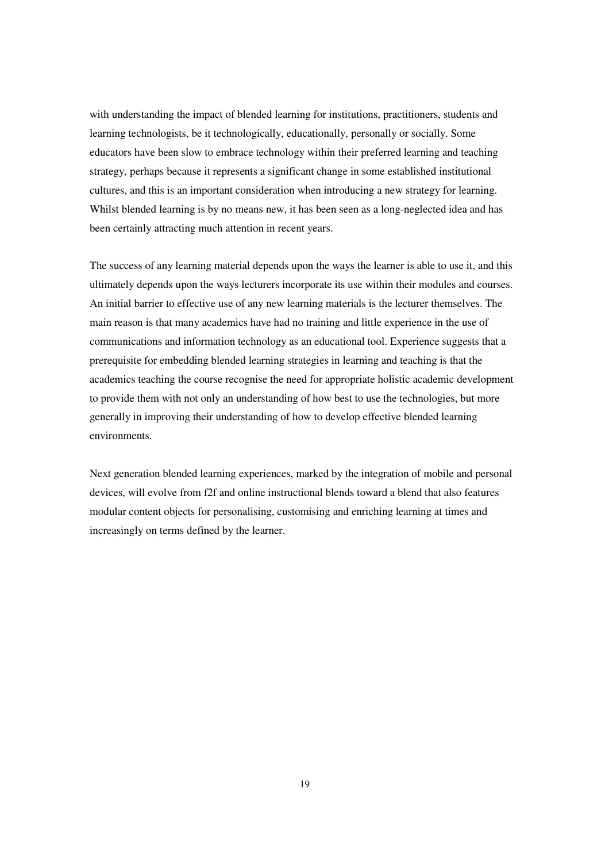with understanding the impact of blended learning for institutions, practitioners, students and learning technologists, be it technologically, educationally, personally or socially. Some educators have been slow to embrace technology within their preferred learning and teaching strategy, perhaps because it represents a significant change in some established institutional cultures, and this is an important consideration when introducing a new strategy for learning. Whilst blended learning is by no means new, it has been seen as a long-neglected idea and has been certainly attracting much attention in recent years.

The success of any learning material depends upon the ways the learner is able to use it, and this ultimately depends upon the ways lecturers incorporate its use within their modules and courses. An initial barrier to effective use of any new learning materials is the lecturer themselves. The main reason is that many academics have had no training and little experience in the use of communications and information technology as an educational tool. Experience suggests that a prerequisite for embedding blended learning strategies in learning and teaching is that the academics teaching the course recognise the need for appropriate holistic academic development to provide them with not only an understanding of how best to use the technologies, but more generally in improving their understanding of how to develop effective blended learning environments.

Next generation blended learning experiences, marked by the integration of mobile and personal devices, will evolve from f2f and online instructional blends toward a blend that also features modular content objects for personalising, customising and enriching learning at times and increasingly on terms defined by the learner.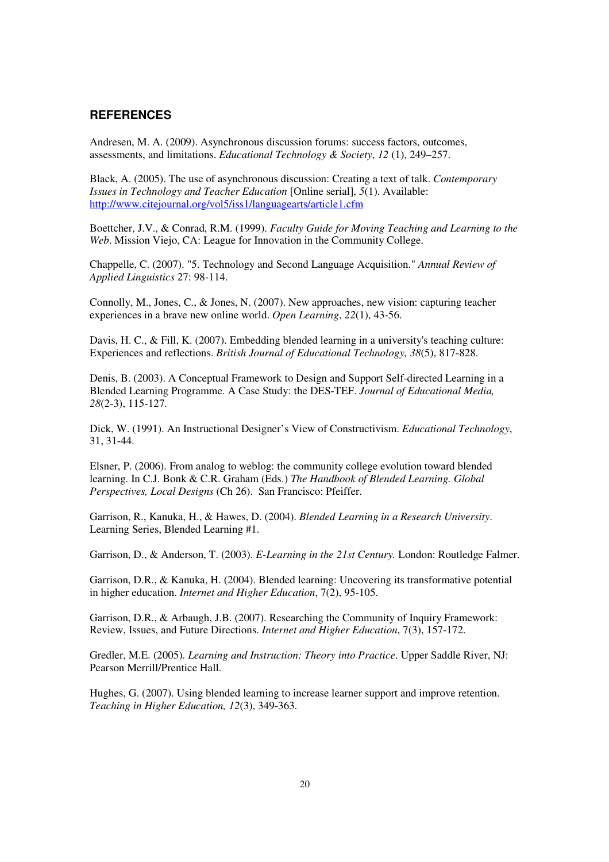#### **REFERENCES**

Andresen, M. A. (2009). Asynchronous discussion forums: success factors, outcomes, assessments, and limitations. *Educational Technology & Society*, *12* (1), 249–257.

Black, A. (2005). The use of asynchronous discussion: Creating a text of talk. *Contemporary Issues in Technology and Teacher Education* [Online serial], *5*(1). Available: http://www.citejournal.org/vol5/iss1/languagearts/article1.cfm

Boettcher, J.V., & Conrad, R.M. (1999). *Faculty Guide for Moving Teaching and Learning to the Web*. Mission Viejo, CA: League for Innovation in the Community College.

Chappelle, C. (2007). "5. Technology and Second Language Acquisition." *Annual Review of Applied Linguistics* 27: 98-114.

Connolly, M., Jones, C., & Jones, N. (2007). New approaches, new vision: capturing teacher experiences in a brave new online world. *Open Learning*, *22*(1), 43-56.

Davis, H. C., & Fill, K. (2007). Embedding blended learning in a university's teaching culture: Experiences and reflections. *British Journal of Educational Technology, 38*(5), 817-828.

Denis, B. (2003). A Conceptual Framework to Design and Support Self-directed Learning in a Blended Learning Programme. A Case Study: the DES-TEF. *Journal of Educational Media, 28*(2-3), 115-127.

Dick, W. (1991). An Instructional Designer's View of Constructivism. *Educational Technology*, 31, 31-44.

Elsner, P. (2006). From analog to weblog: the community college evolution toward blended learning. In C.J. Bonk & C.R. Graham (Eds.) *The Handbook of Blended Learning. Global Perspectives, Local Designs* (Ch 26). San Francisco: Pfeiffer.

Garrison, R., Kanuka, H., & Hawes, D. (2004). *Blended Learning in a Research University*. Learning Series, Blended Learning #1.

Garrison, D., & Anderson, T. (2003). *E-Learning in the 21st Century.* London: Routledge Falmer.

Garrison, D.R., & Kanuka, H. (2004). Blended learning: Uncovering its transformative potential in higher education. *Internet and Higher Education*, 7(2), 95-105.

Garrison, D.R., & Arbaugh, J.B. (2007). Researching the Community of Inquiry Framework: Review, Issues, and Future Directions. *Internet and Higher Education*, 7(3), 157-172.

Gredler, M.E. (2005). *Learning and Instruction: Theory into Practice*. Upper Saddle River, NJ: Pearson Merrill/Prentice Hall.

Hughes, G. (2007). Using blended learning to increase learner support and improve retention. *Teaching in Higher Education, 12*(3), 349-363.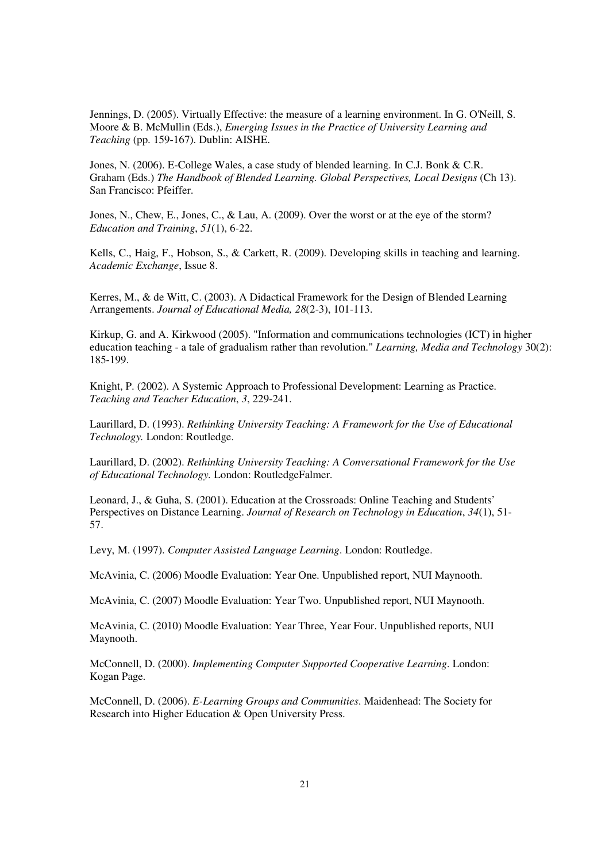Jennings, D. (2005). Virtually Effective: the measure of a learning environment. In G. O'Neill, S. Moore & B. McMullin (Eds.), *Emerging Issues in the Practice of University Learning and Teaching* (pp. 159-167). Dublin: AISHE.

Jones, N. (2006). E-College Wales, a case study of blended learning. In C.J. Bonk & C.R. Graham (Eds.) *The Handbook of Blended Learning. Global Perspectives, Local Designs* (Ch 13). San Francisco: Pfeiffer.

Jones, N., Chew, E., Jones, C., & Lau, A. (2009). Over the worst or at the eye of the storm? *Education and Training*, *51*(1), 6-22.

Kells, C., Haig, F., Hobson, S., & Carkett, R. (2009). Developing skills in teaching and learning. *Academic Exchange*, Issue 8.

Kerres, M., & de Witt, C. (2003). A Didactical Framework for the Design of Blended Learning Arrangements. *Journal of Educational Media, 28*(2-3), 101-113.

Kirkup, G. and A. Kirkwood (2005). "Information and communications technologies (ICT) in higher education teaching - a tale of gradualism rather than revolution." *Learning, Media and Technology* 30(2): 185-199.

Knight, P. (2002). A Systemic Approach to Professional Development: Learning as Practice. *Teaching and Teacher Education*, *3*, 229-241.

Laurillard, D. (1993). *Rethinking University Teaching: A Framework for the Use of Educational Technology.* London: Routledge.

Laurillard, D. (2002). *Rethinking University Teaching: A Conversational Framework for the Use of Educational Technology.* London: RoutledgeFalmer.

Leonard, J., & Guha, S. (2001). Education at the Crossroads: Online Teaching and Students' Perspectives on Distance Learning. *Journal of Research on Technology in Education*, *34*(1), 51- 57.

Levy, M. (1997). *Computer Assisted Language Learning*. London: Routledge.

McAvinia, C. (2006) Moodle Evaluation: Year One. Unpublished report, NUI Maynooth.

McAvinia, C. (2007) Moodle Evaluation: Year Two. Unpublished report, NUI Maynooth.

McAvinia, C. (2010) Moodle Evaluation: Year Three, Year Four. Unpublished reports, NUI Maynooth.

McConnell, D. (2000). *Implementing Computer Supported Cooperative Learning*. London: Kogan Page.

McConnell, D. (2006). *E-Learning Groups and Communities*. Maidenhead: The Society for Research into Higher Education & Open University Press.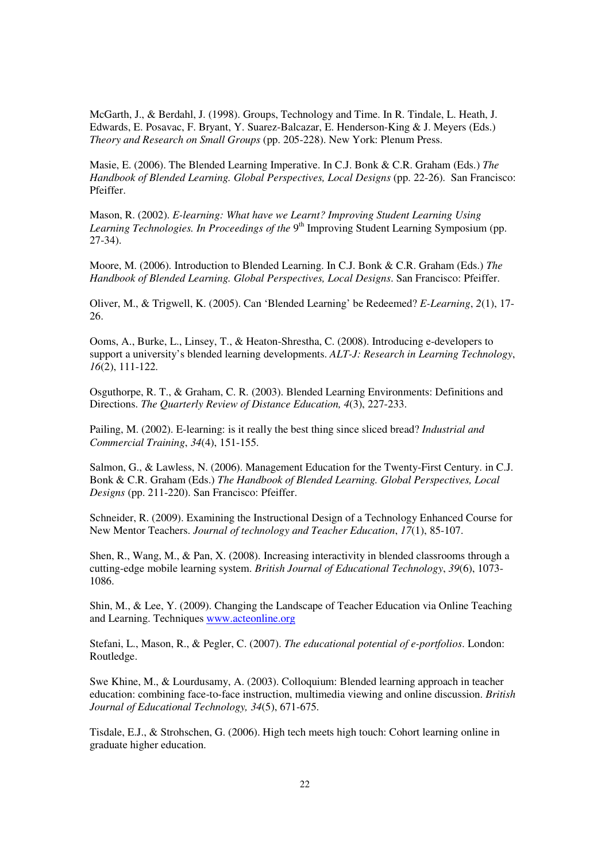McGarth, J., & Berdahl, J. (1998). Groups, Technology and Time. In R. Tindale, L. Heath, J. Edwards, E. Posavac, F. Bryant, Y. Suarez-Balcazar, E. Henderson-King & J. Meyers (Eds.) *Theory and Research on Small Groups* (pp. 205-228). New York: Plenum Press.

Masie, E. (2006). The Blended Learning Imperative. In C.J. Bonk & C.R. Graham (Eds.) *The Handbook of Blended Learning. Global Perspectives, Local Designs* (pp. 22-26). San Francisco: Pfeiffer.

Mason, R. (2002). *E-learning: What have we Learnt? Improving Student Learning Using*  Learning Technologies. In Proceedings of the 9<sup>th</sup> Improving Student Learning Symposium (pp. 27-34).

Moore, M. (2006). Introduction to Blended Learning. In C.J. Bonk & C.R. Graham (Eds.) *The Handbook of Blended Learning. Global Perspectives, Local Designs*. San Francisco: Pfeiffer.

Oliver, M., & Trigwell, K. (2005). Can 'Blended Learning' be Redeemed? *E-Learning*, *2*(1), 17- 26.

Ooms, A., Burke, L., Linsey, T., & Heaton-Shrestha, C. (2008). Introducing e-developers to support a university's blended learning developments. *ALT-J: Research in Learning Technology*, *16*(2), 111-122.

Osguthorpe, R. T., & Graham, C. R. (2003). Blended Learning Environments: Definitions and Directions. *The Quarterly Review of Distance Education, 4*(3), 227-233.

Pailing, M. (2002). E-learning: is it really the best thing since sliced bread? *Industrial and Commercial Training*, *34*(4), 151-155.

Salmon, G., & Lawless, N. (2006). Management Education for the Twenty-First Century. in C.J. Bonk & C.R. Graham (Eds.) *The Handbook of Blended Learning. Global Perspectives, Local Designs* (pp. 211-220). San Francisco: Pfeiffer.

Schneider, R. (2009). Examining the Instructional Design of a Technology Enhanced Course for New Mentor Teachers. *Journal of technology and Teacher Education*, *17*(1), 85-107.

Shen, R., Wang, M., & Pan, X. (2008). Increasing interactivity in blended classrooms through a cutting-edge mobile learning system. *British Journal of Educational Technology*, *39*(6), 1073- 1086.

Shin, M., & Lee, Y. (2009). Changing the Landscape of Teacher Education via Online Teaching and Learning. Techniques www.acteonline.org

Stefani, L., Mason, R., & Pegler, C. (2007). *The educational potential of e-portfolios*. London: Routledge.

Swe Khine, M., & Lourdusamy, A. (2003). Colloquium: Blended learning approach in teacher education: combining face-to-face instruction, multimedia viewing and online discussion. *British Journal of Educational Technology, 34*(5), 671-675.

Tisdale, E.J., & Strohschen, G. (2006). High tech meets high touch: Cohort learning online in graduate higher education.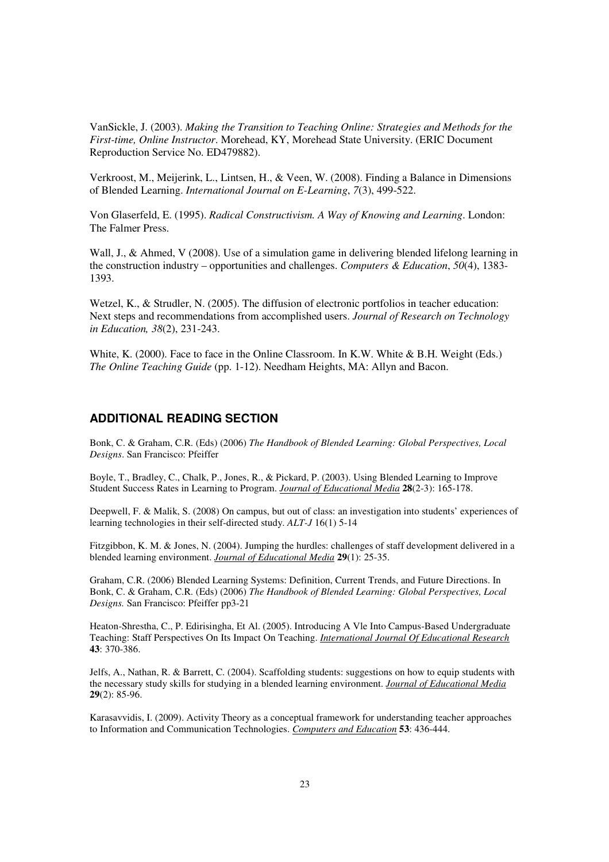VanSickle, J. (2003). *Making the Transition to Teaching Online: Strategies and Methods for the First-time, Online Instructor*. Morehead, KY, Morehead State University. (ERIC Document Reproduction Service No. ED479882).

Verkroost, M., Meijerink, L., Lintsen, H., & Veen, W. (2008). Finding a Balance in Dimensions of Blended Learning. *International Journal on E-Learning*, *7*(3), 499-522.

Von Glaserfeld, E. (1995). *Radical Constructivism. A Way of Knowing and Learning*. London: The Falmer Press.

Wall, J., & Ahmed, V (2008). Use of a simulation game in delivering blended lifelong learning in the construction industry – opportunities and challenges. *Computers & Education*, *50*(4), 1383- 1393.

Wetzel, K., & Strudler, N. (2005). The diffusion of electronic portfolios in teacher education: Next steps and recommendations from accomplished users. *Journal of Research on Technology in Education, 38*(2), 231-243.

White, K. (2000). Face to face in the Online Classroom. In K.W. White & B.H. Weight (Eds.) *The Online Teaching Guide* (pp. 1-12). Needham Heights, MA: Allyn and Bacon.

## **ADDITIONAL READING SECTION**

Bonk, C. & Graham, C.R. (Eds) (2006) *The Handbook of Blended Learning: Global Perspectives, Local Designs*. San Francisco: Pfeiffer

Boyle, T., Bradley, C., Chalk, P., Jones, R., & Pickard, P. (2003). Using Blended Learning to Improve Student Success Rates in Learning to Program. *Journal of Educational Media* **28**(2-3): 165-178.

Deepwell, F. & Malik, S. (2008) On campus, but out of class: an investigation into students' experiences of learning technologies in their self-directed study. *ALT-J* 16(1) 5-14

Fitzgibbon, K. M. & Jones, N. (2004). Jumping the hurdles: challenges of staff development delivered in a blended learning environment. *Journal of Educational Media* **29**(1): 25-35.

Graham, C.R. (2006) Blended Learning Systems: Definition, Current Trends, and Future Directions. In Bonk, C. & Graham, C.R. (Eds) (2006) *The Handbook of Blended Learning: Global Perspectives, Local Designs.* San Francisco: Pfeiffer pp3-21

Heaton-Shrestha, C., P. Edirisingha, Et Al. (2005). Introducing A Vle Into Campus-Based Undergraduate Teaching: Staff Perspectives On Its Impact On Teaching. *International Journal Of Educational Research* **43**: 370-386.

Jelfs, A., Nathan, R. & Barrett, C. (2004). Scaffolding students: suggestions on how to equip students with the necessary study skills for studying in a blended learning environment. *Journal of Educational Media* **29**(2): 85-96.

Karasavvidis, I. (2009). Activity Theory as a conceptual framework for understanding teacher approaches to Information and Communication Technologies. *Computers and Education* **53**: 436-444.